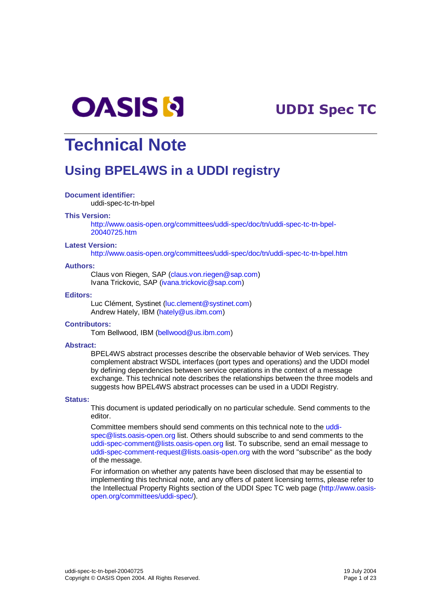

# --

# **Technical Note**

# **Using BPEL4WS in a UDDI registry**

#### **Document identifier:**

uddi-spec-tc-tn-bpel

#### **This Version:**

http://www.oasis-open.org/committees/uddi-spec/doc/tn/uddi-spec-tc-tn-bpel-20040725.htm

#### **Latest Version:**

http://www.oasis-open.org/committees/uddi-spec/doc/tn/uddi-spec-tc-tn-bpel.htm

#### **Authors:**

Claus von Riegen, SAP (claus.von.riegen@sap.com) Ivana Trickovic, SAP (ivana.trickovic@sap.com)

#### **Editors:**

Luc Clément, Systinet (luc.clement@systinet.com) Andrew Hately, IBM (hately@us.ibm.com)

#### **Contributors:**

Tom Bellwood, IBM (bellwood@us.ibm.com)

#### **Abstract:**

BPEL4WS abstract processes describe the observable behavior of Web services. They complement abstract WSDL interfaces (port types and operations) and the UDDI model by defining dependencies between service operations in the context of a message exchange. This technical note describes the relationships between the three models and suggests how BPEL4WS abstract processes can be used in a UDDI Registry.

#### **Status:**

This document is updated periodically on no particular schedule. Send comments to the editor.

Committee members should send comments on this technical note to the uddispec@lists.oasis-open.org list. Others should subscribe to and send comments to the uddi-spec-comment@lists.oasis-open.org list. To subscribe, send an email message to uddi-spec-comment-request@lists.oasis-open.org with the word "subscribe" as the body of the message.

For information on whether any patents have been disclosed that may be essential to implementing this technical note, and any offers of patent licensing terms, please refer to the Intellectual Property Rights section of the UDDI Spec TC web page (http://www.oasisopen.org/committees/uddi-spec/).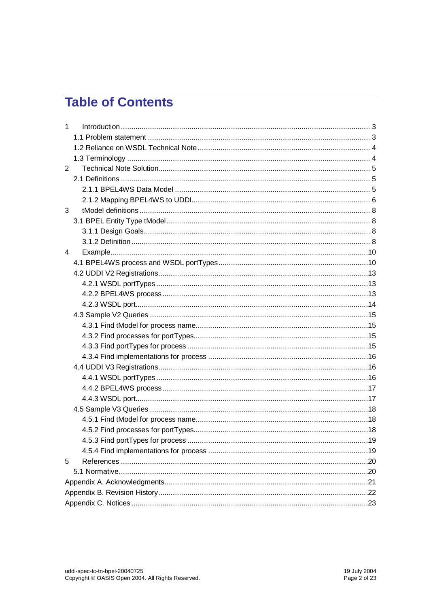# **Table of Contents**

| $\mathbf{1}$ |  |  |  |  |
|--------------|--|--|--|--|
|              |  |  |  |  |
|              |  |  |  |  |
|              |  |  |  |  |
| 2            |  |  |  |  |
|              |  |  |  |  |
|              |  |  |  |  |
|              |  |  |  |  |
| 3            |  |  |  |  |
|              |  |  |  |  |
|              |  |  |  |  |
|              |  |  |  |  |
| 4            |  |  |  |  |
|              |  |  |  |  |
|              |  |  |  |  |
|              |  |  |  |  |
|              |  |  |  |  |
|              |  |  |  |  |
|              |  |  |  |  |
|              |  |  |  |  |
|              |  |  |  |  |
|              |  |  |  |  |
|              |  |  |  |  |
|              |  |  |  |  |
|              |  |  |  |  |
|              |  |  |  |  |
|              |  |  |  |  |
|              |  |  |  |  |
|              |  |  |  |  |
|              |  |  |  |  |
|              |  |  |  |  |
|              |  |  |  |  |
| 5            |  |  |  |  |
|              |  |  |  |  |
|              |  |  |  |  |
|              |  |  |  |  |
|              |  |  |  |  |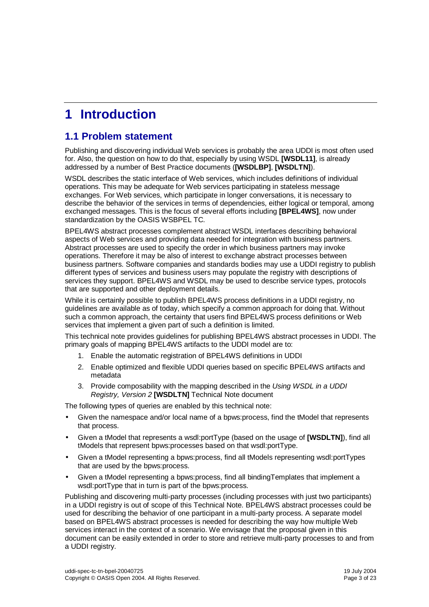# **1 Introduction**

## **1.1 Problem statement**

Publishing and discovering individual Web services is probably the area UDDI is most often used for. Also, the question on how to do that, especially by using WSDL **[WSDL11]**, is already addressed by a number of Best Practice documents (**[WSDLBP]**, **[WSDLTN]**).

WSDL describes the static interface of Web services, which includes definitions of individual operations. This may be adequate for Web services participating in stateless message exchanges. For Web services, which participate in longer conversations, it is necessary to describe the behavior of the services in terms of dependencies, either logical or temporal, among exchanged messages. This is the focus of several efforts including **[BPEL4WS]**, now under standardization by the OASIS WSBPEL TC.

BPEL4WS abstract processes complement abstract WSDL interfaces describing behavioral aspects of Web services and providing data needed for integration with business partners. Abstract processes are used to specify the order in which business partners may invoke operations. Therefore it may be also of interest to exchange abstract processes between business partners. Software companies and standards bodies may use a UDDI registry to publish different types of services and business users may populate the registry with descriptions of services they support. BPEL4WS and WSDL may be used to describe service types, protocols that are supported and other deployment details.

While it is certainly possible to publish BPEL4WS process definitions in a UDDI registry, no guidelines are available as of today, which specify a common approach for doing that. Without such a common approach, the certainty that users find BPEL4WS process definitions or Web services that implement a given part of such a definition is limited.

This technical note provides guidelines for publishing BPEL4WS abstract processes in UDDI. The primary goals of mapping BPEL4WS artifacts to the UDDI model are to:

- 1. Enable the automatic registration of BPEL4WS definitions in UDDI
- 2. Enable optimized and flexible UDDI queries based on specific BPEL4WS artifacts and metadata
- 3. Provide composability with the mapping described in the Using WSDL in a UDDI Registry, Version 2 **[WSDLTN]** Technical Note document

The following types of queries are enabled by this technical note:

- Given the namespace and/or local name of a bpws:process, find the tModel that represents that process.
- Given a tModel that represents a wsdl:portType (based on the usage of **[WSDLTN]**), find all tModels that represent bpws:processes based on that wsdl:portType.
- Given a tModel representing a bpws:process, find all tModels representing wsdl:portTypes that are used by the bpws:process.
- Given a tModel representing a bpws:process, find all bindingTemplates that implement a wsdl:portType that in turn is part of the bpws:process.

Publishing and discovering multi-party processes (including processes with just two participants) in a UDDI registry is out of scope of this Technical Note. BPEL4WS abstract processes could be used for describing the behavior of one participant in a multi-party process. A separate model based on BPEL4WS abstract processes is needed for describing the way how multiple Web services interact in the context of a scenario. We envisage that the proposal given in this document can be easily extended in order to store and retrieve multi-party processes to and from a UDDI registry.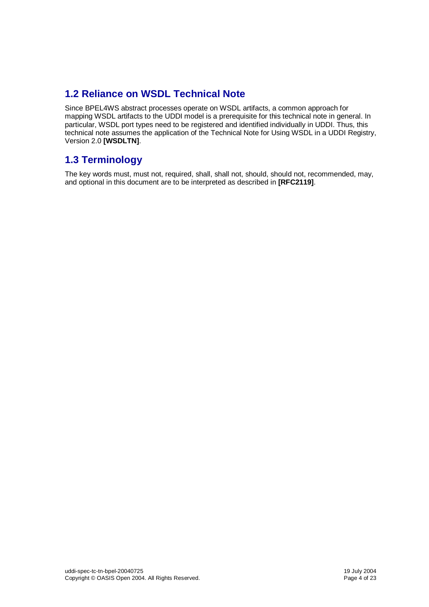# **1.2 Reliance on WSDL Technical Note**

Since BPEL4WS abstract processes operate on WSDL artifacts, a common approach for mapping WSDL artifacts to the UDDI model is a prerequisite for this technical note in general. In particular, WSDL port types need to be registered and identified individually in UDDI. Thus, this technical note assumes the application of the Technical Note for Using WSDL in a UDDI Registry, Version 2.0 **[WSDLTN]**.

# **1.3 Terminology**

The key words must, must not, required, shall, shall not, should, should not, recommended, may, and optional in this document are to be interpreted as described in **[RFC2119]**.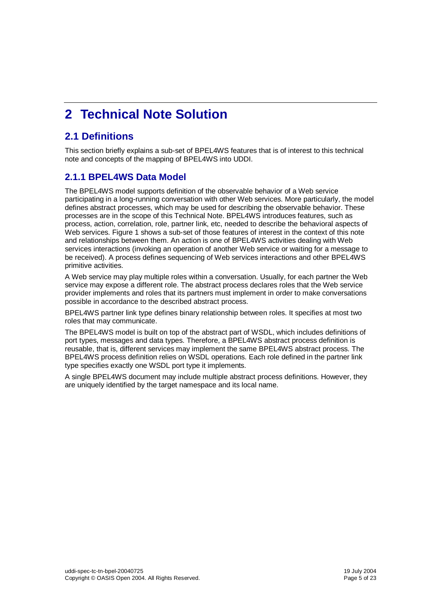# **2 Technical Note Solution**

# **2.1 Definitions**

This section briefly explains a sub-set of BPEL4WS features that is of interest to this technical note and concepts of the mapping of BPEL4WS into UDDI.

## **2.1.1 BPEL4WS Data Model**

The BPEL4WS model supports definition of the observable behavior of a Web service participating in a long-running conversation with other Web services. More particularly, the model defines abstract processes, which may be used for describing the observable behavior. These processes are in the scope of this Technical Note. BPEL4WS introduces features, such as process, action, correlation, role, partner link, etc, needed to describe the behavioral aspects of Web services. Figure 1 shows a sub-set of those features of interest in the context of this note and relationships between them. An action is one of BPEL4WS activities dealing with Web services interactions (invoking an operation of another Web service or waiting for a message to be received). A process defines sequencing of Web services interactions and other BPEL4WS primitive activities.

A Web service may play multiple roles within a conversation. Usually, for each partner the Web service may expose a different role. The abstract process declares roles that the Web service provider implements and roles that its partners must implement in order to make conversations possible in accordance to the described abstract process.

BPEL4WS partner link type defines binary relationship between roles. It specifies at most two roles that may communicate.

The BPEL4WS model is built on top of the abstract part of WSDL, which includes definitions of port types, messages and data types. Therefore, a BPEL4WS abstract process definition is reusable, that is, different services may implement the same BPEL4WS abstract process. The BPEL4WS process definition relies on WSDL operations. Each role defined in the partner link type specifies exactly one WSDL port type it implements.

A single BPEL4WS document may include multiple abstract process definitions. However, they are uniquely identified by the target namespace and its local name.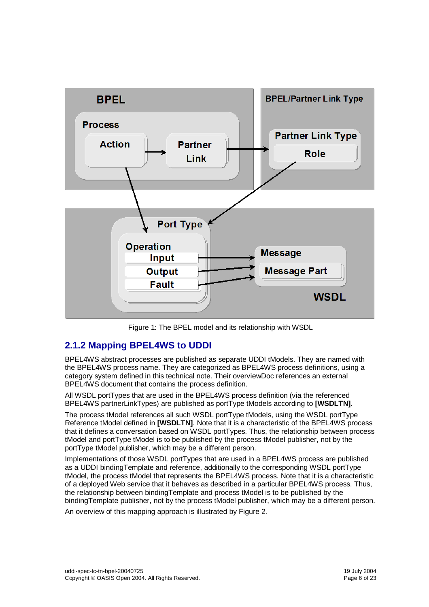

Figure 1: The BPEL model and its relationship with WSDL

### **2.1.2 Mapping BPEL4WS to UDDI**

BPEL4WS abstract processes are published as separate UDDI tModels. They are named with the BPEL4WS process name. They are categorized as BPEL4WS process definitions, using a category system defined in this technical note. Their overviewDoc references an external BPEL4WS document that contains the process definition.

All WSDL portTypes that are used in the BPEL4WS process definition (via the referenced BPEL4WS partnerLinkTypes) are published as portType tModels according to **[WSDLTN]**.

The process tModel references all such WSDL portType tModels, using the WSDL portType Reference tModel defined in **[WSDLTN]**. Note that it is a characteristic of the BPEL4WS process that it defines a conversation based on WSDL portTypes. Thus, the relationship between process tModel and portType tModel is to be published by the process tModel publisher, not by the portType tModel publisher, which may be a different person.

Implementations of those WSDL portTypes that are used in a BPEL4WS process are published as a UDDI bindingTemplate and reference, additionally to the corresponding WSDL portType tModel, the process tModel that represents the BPEL4WS process. Note that it is a characteristic of a deployed Web service that it behaves as described in a particular BPEL4WS process. Thus, the relationship between bindingTemplate and process tModel is to be published by the bindingTemplate publisher, not by the process tModel publisher, which may be a different person.

An overview of this mapping approach is illustrated by Figure 2.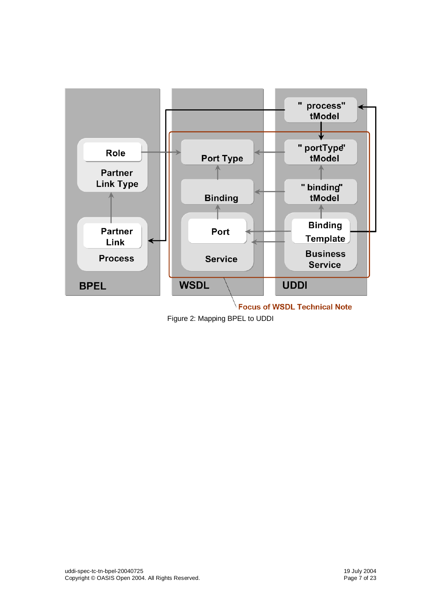

**Focus of WSDL Technical Note** 

Figure 2: Mapping BPEL to UDDI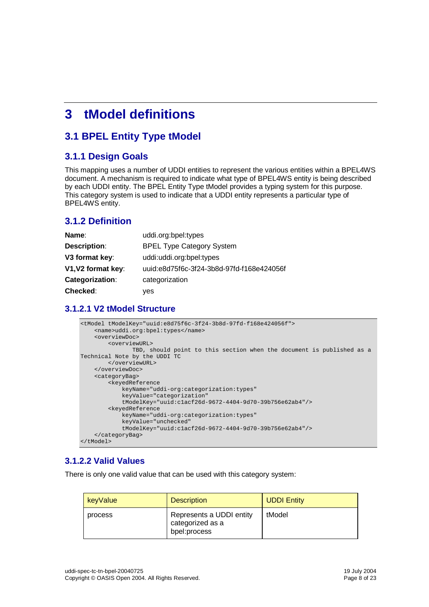# **3 tModel definitions**

# **3.1 BPEL Entity Type tModel**

### **3.1.1 Design Goals**

This mapping uses a number of UDDI entities to represent the various entities within a BPEL4WS document. A mechanism is required to indicate what type of BPEL4WS entity is being described by each UDDI entity. The BPEL Entity Type tModel provides a typing system for this purpose. This category system is used to indicate that a UDDI entity represents a particular type of BPEL4WS entity.

## **3.1.2 Definition**

| Name:                  | uddi.org:bpel:types                       |  |  |
|------------------------|-------------------------------------------|--|--|
| Description:           | <b>BPEL Type Category System</b>          |  |  |
| V3 format key:         | uddi:uddi.org:bpel:types                  |  |  |
| V1, V2 format key:     | uuid:e8d75f6c-3f24-3b8d-97fd-f168e424056f |  |  |
| <b>Categorization:</b> | categorization                            |  |  |
| <b>Checked:</b>        | yes                                       |  |  |

### **3.1.2.1 V2 tModel Structure**

```
<tModel tModelKey="uuid:e8d75f6c-3f24-3b8d-97fd-f168e424056f">
    <name>uddi.org:bpel:types</name>
    <overviewDoc>
        <overviewURL>
              TBD, should point to this section when the document is published as a
Technical Note by the UDDI TC
       </overviewURL>
    </overviewDoc>
    <categoryBag>
       <keyedReference
            keyName="uddi-org:categorization:types"
            keyValue="categorization"
           tModelKey="uuid:c1acf26d-9672-4404-9d70-39b756e62ab4"/>
        <keyedReference
            keyName="uddi-org:categorization:types"
            keyValue="unchecked"
            tModelKey="uuid:c1acf26d-9672-4404-9d70-39b756e62ab4"/>
    </categoryBag>
</tModel>
```
### **3.1.2.2 Valid Values**

There is only one valid value that can be used with this category system:

| keyValue | <b>Description</b>                                           | <b>UDDI Entity</b> |
|----------|--------------------------------------------------------------|--------------------|
| process  | Represents a UDDI entity<br>categorized as a<br>bpel:process | tModel             |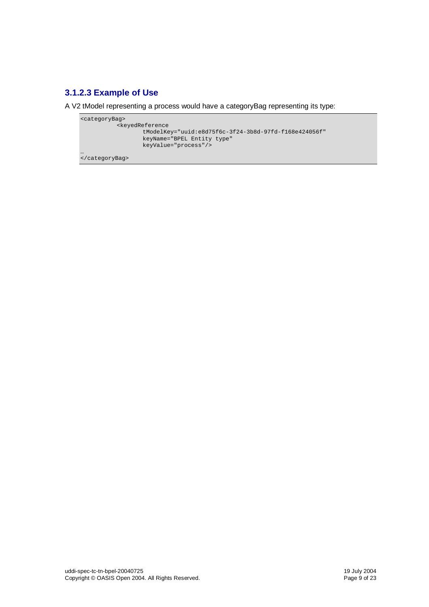## **3.1.2.3 Example of Use**

A V2 tModel representing a process would have a categoryBag representing its type:

```
<categoryBag>
           <keyedReference
                  tModelKey="uuid:e8d75f6c-3f24-3b8d-97fd-f168e424056f"
                  keyName="BPEL Entity type"
                  keyValue="process"/>
```
… </categoryBag>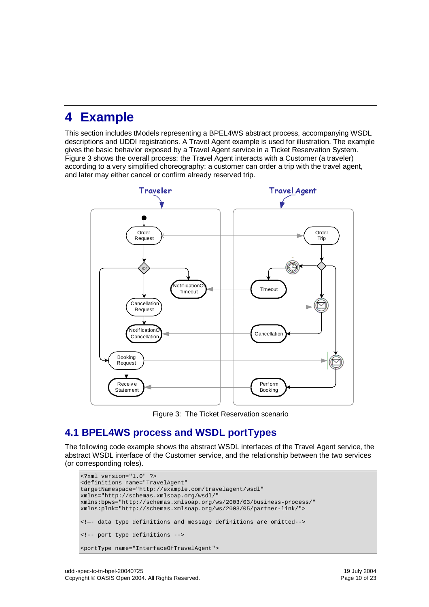# **4 Example**

This section includes tModels representing a BPEL4WS abstract process, accompanying WSDL descriptions and UDDI registrations. A Travel Agent example is used for illustration. The example gives the basic behavior exposed by a Travel Agent service in a Ticket Reservation System. Figure 3 shows the overall process: the Travel Agent interacts with a Customer (a traveler) according to a very simplified choreography: a customer can order a trip with the travel agent, and later may either cancel or confirm already reserved trip.



Figure 3: The Ticket Reservation scenario

# **4.1 BPEL4WS process and WSDL portTypes**

The following code example shows the abstract WSDL interfaces of the Travel Agent service, the abstract WSDL interface of the Customer service, and the relationship between the two services (or corresponding roles).

```
<?xml version="1.0" ?>
<definitions name="TravelAgent"
targetNamespace="http://example.com/travelagent/wsdl"
xmlns="http://schemas.xmlsoap.org/wsdl/"
xmlns:bpws="http://schemas.xmlsoap.org/ws/2003/03/business-process/"
xmlns:plnk="http://schemas.xmlsoap.org/ws/2003/05/partner-link/">
<!—- data type definitions and message definitions are omitted-->
<!-- port type definitions -->
<portType name="InterfaceOfTravelAgent">
```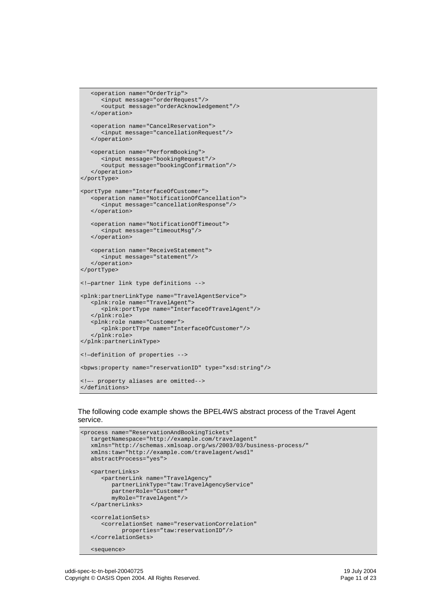```
<operation name="OrderTrip">
      <input message="orderRequest"/>
      <output message="orderAcknowledgement"/>
   </operation>
   <operation name="CancelReservation">
      <input message="cancellationRequest"/>
   </operation>
   <operation name="PerformBooking">
      <input message="bookingRequest"/>
      <output message="bookingConfirmation"/>
   </operation>
</portType>
<portType name="InterfaceOfCustomer">
   <operation name="NotificationOfCancellation">
     <input message="cancellationResponse"/>
   </operation>
   <operation name="NotificationOfTimeout">
      <input message="timeoutMsg"/>
   </operation>
   <operation name="ReceiveStatement">
     <input message="statement"/>
   </operation>
</portType>
<!—partner link type definitions -->
<plnk:partnerLinkType name="TravelAgentService">
   <plnk:role name="TravelAgent">
     <plnk:portType name="InterfaceOfTravelAgent"/>
   </plnk:role>
   <plnk:role name="Customer">
      <plnk:portTYpe name="InterfaceOfCustomer"/>
   </plnk:role>
</plnk:partnerLinkType>
<!—definition of properties -->
<bpws:property name="reservationID" type="xsd:string"/>
<!—- property aliases are omitted-->
</definitions>
```
#### The following code example shows the BPEL4WS abstract process of the Travel Agent service.

```
<process name="ReservationAndBookingTickets"
  targetNamespace="http://example.com/travelagent"
  xmlns="http://schemas.xmlsoap.org/ws/2003/03/business-process/"
  xmlns:taw="http://example.com/travelagent/wsdl"
  abstractProcess="yes">
  <partnerLinks>
      <partnerLink name="TravelAgency"
        partnerLinkType="taw:TravelAgencyService"
        partnerRole="Customer"
        myRole="TravelAgent"/>
  </partnerLinks>
   <correlationSets>
     <correlationSet name="reservationCorrelation"
           properties="taw:reservationID"/>
   </correlationSets>
  <sequence>
```

```
uddi-spec-tc-tn-bpel-20040725 19 July 2004
Copyright © OASIS Open 2004. All Rights Reserved. Page 11 of 23
```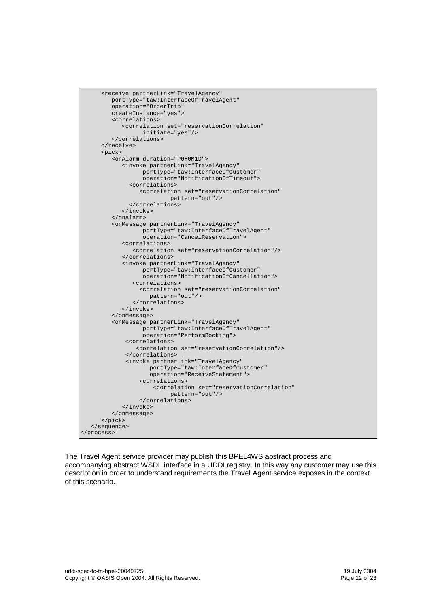```
<receive partnerLink="TravelAgency
        portType="taw:InterfaceOfTravelAgent"
        operation="OrderTrip"
         createInstance="yes">
         <correlations>
            <correlation set="reservationCorrelation"
                 initiate="yes"/>
         </correlations>
      </receive>
      <pick>
         <onAlarm duration="P0Y0M1D">
            <invoke partnerLink="TravelAgency"
                  portType="taw:InterfaceOfCustomer"
                  operation="NotificationOfTimeout">
              <correlations>
                <correlation set="reservationCorrelation"
                         pattern="out"/>
              </correlations>
            </invoke>
         </onAlarm>
         <onMessage partnerLink="TravelAgency"
                 portType="taw:InterfaceOfTravelAgent"
                 operation="CancelReservation">
            <correlations>
               <correlation set="reservationCorrelation"/>
            </correlations>
            <invoke partnerLink="TravelAgency"
                  portType="taw:InterfaceOfCustomer"
                 operation="NotificationOfCancellation">
               <correlations>
                <correlation set="reservationCorrelation"
                   pattern="out"/>
               </correlations>
            </invoke>
         </onMessage>
         <onMessage partnerLink="TravelAgency"
                 portType="taw:InterfaceOfTravelAgent"
                  operation="PerformBooking">
             <correlations>
                <correlation set="reservationCorrelation"/>
             </correlations>
             <invoke partnerLink="TravelAgency"
                    portType="taw:InterfaceOfCustomer"
                    operation="ReceiveStatement">
                 <correlations>
                    <correlation set="reservationCorrelation"
                          pattern="out"/>
                 </correlations>
            </invoke>
         </onMessage>
      </pick>
   </sequence>
</process>
```
The Travel Agent service provider may publish this BPEL4WS abstract process and accompanying abstract WSDL interface in a UDDI registry. In this way any customer may use this description in order to understand requirements the Travel Agent service exposes in the context of this scenario.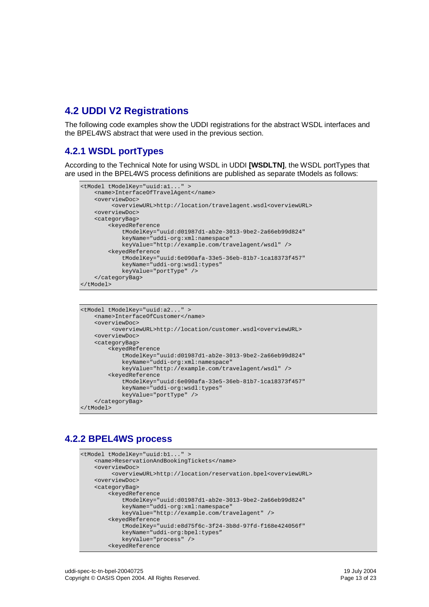# **4.2 UDDI V2 Registrations**

The following code examples show the UDDI registrations for the abstract WSDL interfaces and the BPEL4WS abstract that were used in the previous section.

### **4.2.1 WSDL portTypes**

According to the Technical Note for using WSDL in UDDI **[WSDLTN]**, the WSDL portTypes that are used in the BPEL4WS process definitions are published as separate tModels as follows:

```
<tModel tModelKey="uuid:a1..." >
    <name>InterfaceOfTravelAgent</name>
    <overviewDoc>
         <overviewURL>http://location/travelagent.wsdl<overviewURL>
    <overviewDoc>
    <categoryBag>
       <keyedReference
            tModelKey="uuid:d01987d1-ab2e-3013-9be2-2a66eb99d824"
            keyName="uddi-org:xml:namespace"
            keyValue="http://example.com/travelagent/wsdl" />
        <keyedReference
            tModelKey="uuid:6e090afa-33e5-36eb-81b7-1ca18373f457"
            keyName="uddi-org:wsdl:types"
            keyValue="portType" />
    </categoryBag>
</tModel>
```

```
<tModel tModelKey="uuid:a2..." >
    <name>InterfaceOfCustomer</name>
    <overviewDoc>
         <overviewURL>http://location/customer.wsdl<overviewURL>
    <overviewDoc>
    <categoryBag>
        <keyedReference
            tModelKey="uuid:d01987d1-ab2e-3013-9be2-2a66eb99d824"
            keyName="uddi-org:xml:namespace"
            keyValue="http://example.com/travelagent/wsdl" />
        <keyedReference
            tModelKey="uuid:6e090afa-33e5-36eb-81b7-1ca18373f457"
            keyName="uddi-org:wsdl:types"
            keyValue="portType" />
    </categoryBag>
</tModel>
```
### **4.2.2 BPEL4WS process**

```
<tModel tModelKey="uuid:b1..." >
    <name>ReservationAndBookingTickets</name>
    <overviewDoc>
         <overviewURL>http://location/reservation.bpel<overviewURL>
   <overviewDoc>
   <categoryBag>
       <keyedReference
            tModelKey="uuid:d01987d1-ab2e-3013-9be2-2a66eb99d824"
           keyName="uddi-org:xml:namespace"
            keyValue="http://example.com/travelagent" />
        <keyedReference
            tModelKey="uuid:e8d75f6c-3f24-3b8d-97fd-f168e424056f"
            keyName="uddi-org:bpel:types"
           keyValue="process" />
        <keyedReference
```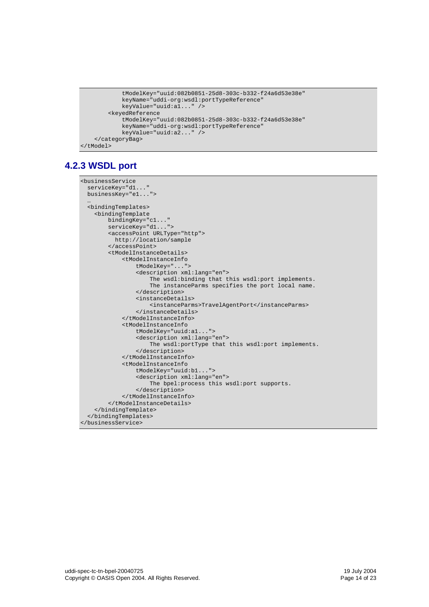```
tModelKey="uuid:082b0851-25d8-303c-b332-f24a6d53e38e"
            keyName="uddi-org:wsdl:portTypeReference"
           keyValue="uuid:a1..." />
        <keyedReference
           tModelKey="uuid:082b0851-25d8-303c-b332-f24a6d53e38e"
           keyName="uddi-org:wsdl:portTypeReference"
           keyValue="uuid:a2..." />
    </categoryBag>
</tModel>
```
## **4.2.3 WSDL port**

```
<businessService
  serviceKey="d1..."
  businessKey="e1...">
  …
  <bindingTemplates>
    <bindingTemplate
        bindingKey="c1..."
        serviceKey="d1...">
        <accessPoint URLType="http">
         http://location/sample
        </accessPoint>
        <tModelInstanceDetails>
            <tModelInstanceInfo
                tModelKey="...">
                <description xml:lang="en">
                    The wsdl:binding that this wsdl:port implements.
                    The instanceParms specifies the port local name.
                </description>
                <instanceDetails>
                    <instanceParms>TravelAgentPort</instanceParms>
                </instanceDetails>
            </tModelInstanceInfo>
            <tModelInstanceInfo
                tModelKey="uuid:a1...">
                <description xml:lang="en">
                    The wsdl:portType that this wsdl:port implements.
                </description>
            </tModelInstanceInfo>
            <tModelInstanceInfo
                tModelKey="uuid:b1...">
                <description xml:lang="en">
                    The bpel:process this wsdl:port supports.
                </description>
            </tModelInstanceInfo>
        </tModelInstanceDetails>
    </bindingTemplate>
  </bindingTemplates>
</businessService>
```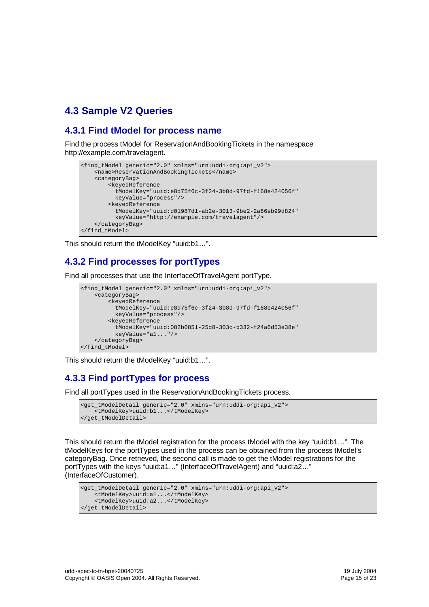# **4.3 Sample V2 Queries**

### **4.3.1 Find tModel for process name**

Find the process tModel for ReservationAndBookingTickets in the namespace http://example.com/travelagent.

```
<find_tModel generic="2.0" xmlns="urn:uddi-org:api_v2">
    <name>ReservationAndBookingTickets</name>
    <categoryBag>
       <keyedReference
         tModelKey="uuid:e8d75f6c-3f24-3b8d-97fd-f168e424056f"
          keyValue="process"/>
        <keyedReference
          tModelKey="uuid:d01987d1-ab2e-3013-9be2-2a66eb99d824"
         keyValue="http://example.com/travelagent"/>
    </categoryBag>
</find_tModel>
```
This should return the tModelKey "uuid:b1…".

## **4.3.2 Find processes for portTypes**

Find all processes that use the InterfaceOfTravelAgent portType.

```
<find_tModel generic="2.0" xmlns="urn:uddi-org:api_v2">
    <categoryBag>
        <keyedReference
          tModelKey="uuid:e8d75f6c-3f24-3b8d-97fd-f168e424056f"
         keyValue="process"/>
        <keyedReference
          tModelKey="uuid:082b0851-25d8-303c-b332-f24a6d53e38e"
         keyValue="a1..."/>
    </categoryBag>
</find_tModel>
```
This should return the tModelKey "uuid:b1…".

## **4.3.3 Find portTypes for process**

Find all portTypes used in the ReservationAndBookingTickets process.

```
<get_tModelDetail generic="2.0" xmlns="urn:uddi-org:api_v2">
    <tModelKey>uuid:b1...</tModelKey>
</get_tModelDetail>
```
This should return the tModel registration for the process tModel with the key "uuid:b1…". The tModelKeys for the portTypes used in the process can be obtained from the process tModel's categoryBag. Once retrieved, the second call is made to get the tModel registrations for the portTypes with the keys "uuid:a1…" (InterfaceOfTravelAgent) and "uuid:a2…" (InterfaceOfCustomer).

```
<get_tModelDetail generic="2.0" xmlns="urn:uddi-org:api_v2">
    <tModelKey>uuid:a1...</tModelKey>
    <tModelKey>uuid:a2...</tModelKey>
</get_tModelDetail>
```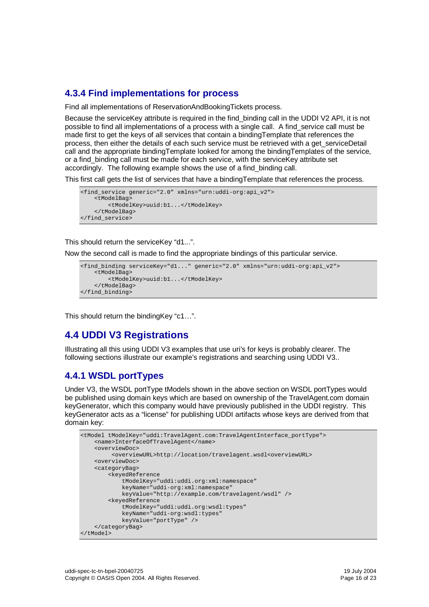## **4.3.4 Find implementations for process**

Find all implementations of ReservationAndBookingTickets process.

Because the service Key attribute is required in the find binding call in the UDDI V2 API, it is not possible to find all implementations of a process with a single call. A find\_service call must be made first to get the keys of all services that contain a bindingTemplate that references the process, then either the details of each such service must be retrieved with a get\_serviceDetail call and the appropriate bindingTemplate looked for among the bindingTemplates of the service, or a find\_binding call must be made for each service, with the serviceKey attribute set accordingly. The following example shows the use of a find\_binding call.

This first call gets the list of services that have a bindingTemplate that references the process.

```
<find_service generic="2.0" xmlns="urn:uddi-org:api_v2">
    <tModelBag>
        <tModelKey>uuid:b1...</tModelKey>
    </tModelBag>
</find_service>
```
This should return the serviceKey "d1...".

Now the second call is made to find the appropriate bindings of this particular service.

```
<find_binding serviceKey="d1..." generic="2.0" xmlns="urn:uddi-org:api_v2">
    <tModelBag>
        <tModelKey>uuid:b1...</tModelKey>
    </tModelBag>
</find_binding>
```
This should return the bindingKey "c1…".

# **4.4 UDDI V3 Registrations**

Illustrating all this using UDDI V3 examples that use uri's for keys is probably clearer. The following sections illustrate our example's registrations and searching using UDDI V3..

### **4.4.1 WSDL portTypes**

Under V3, the WSDL portType tModels shown in the above section on WSDL portTypes would be published using domain keys which are based on ownership of the TravelAgent.com domain keyGenerator, which this company would have previously published in the UDDI registry. This keyGenerator acts as a "license" for publishing UDDI artifacts whose keys are derived from that domain key:

```
<tModel tModelKey="uddi:TravelAgent.com:TravelAgentInterface_portType">
   <name>InterfaceOfTravelAgent</name>
    <overviewDoc>
        <overviewURL>http://location/travelagent.wsdl<overviewURL>
    <overviewDoc>
    <categoryBag>
       <keyedReference
            tModelKey="uddi:uddi.org:xml:namespace"
           keyName="uddi-org:xml:namespace"
           keyValue="http://example.com/travelagent/wsdl" />
        <keyedReference
           tModelKey="uddi:uddi.org:wsdl:types"
            keyName="uddi-org:wsdl:types"
           keyValue="portType" />
   </categoryBag>
</tModel>
```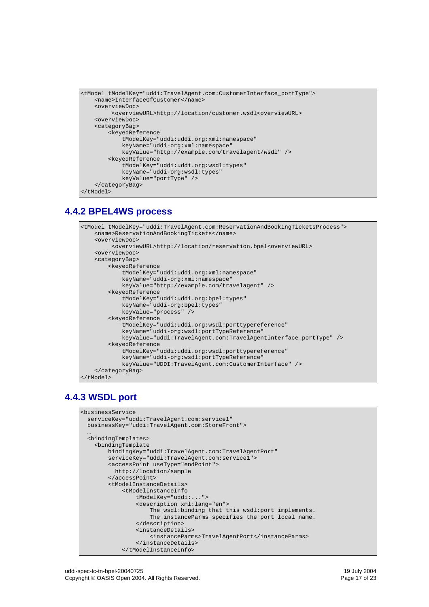```
<tModel tModelKey="uddi:TravelAgent.com:CustomerInterface_portType">
   <name>InterfaceOfCustomer</name>
   <overviewDoc>
         <overviewURL>http://location/customer.wsdl<overviewURL>
    <overviewDoc>
    <categoryBag>
        <keyedReference
            tModelKey="uddi:uddi.org:xml:namespace"
            keyName="uddi-org:xml:namespace"
            keyValue="http://example.com/travelagent/wsdl" />
        <keyedReference
            tModelKey="uddi:uddi.org:wsdl:types"
            keyName="uddi-org:wsdl:types"
            keyValue="portType" />
    </categoryBag>
</tModel>
```
### **4.4.2 BPEL4WS process**

```
<tModel tModelKey="uddi:TravelAgent.com:ReservationAndBookingTicketsProcess">
   <name>ReservationAndBookingTickets</name>
   <overviewDoc>
         <overviewURL>http://location/reservation.bpel<overviewURL>
    <overviewDoc>
   <categoryBag>
        <keyedReference
            tModelKey="uddi:uddi.org:xml:namespace"
            keyName="uddi-org:xml:namespace"
           keyValue="http://example.com/travelagent" />
        <keyedReference
            tModelKey="uddi:uddi.org:bpel:types"
            keyName="uddi-org:bpel:types"
            keyValue="process" />
        <keyedReference
            tModelKey="uddi:uddi.org:wsdl:porttypereference"
            keyName="uddi-org:wsdl:portTypeReference"
           keyValue="uddi:TravelAgent.com:TravelAgentInterface_portType" />
        <keyedReference
            tModelKey="uddi:uddi.org:wsdl:porttypereference"
            keyName="uddi-org:wsdl:portTypeReference"
            keyValue="UDDI:TravelAgent.com:CustomerInterface" />
    </categoryBag>
</tModel>
```
## **4.4.3 WSDL port**

```
<businessService
 serviceKey="uddi:TravelAgent.com:service1"
 businessKey="uddi:TravelAgent.com:StoreFront">
  …
 <bindingTemplates>
    <bindingTemplate
       bindingKey="uddi:TravelAgent.com:TravelAgentPort"
       serviceKey="uddi:TravelAgent.com:service1">
       <accessPoint useType="endPoint">
         http://location/sample
        </accessPoint>
        <tModelInstanceDetails>
            <tModelInstanceInfo
                tModelKey="uddi:...">
                <description xml:lang="en">
                    The wsdl:binding that this wsdl:port implements.
                    The instanceParms specifies the port local name.
                </description>
                <instanceDetails>
                    <instanceParms>TravelAgentPort</instanceParms>
                </instanceDetails>
            </tModelInstanceInfo>
```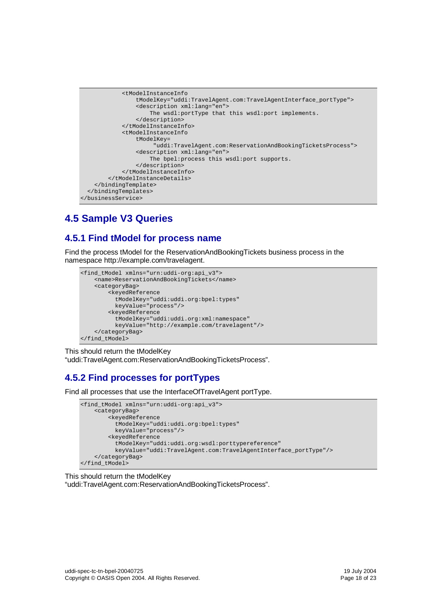

# **4.5 Sample V3 Queries**

## **4.5.1 Find tModel for process name**

Find the process tModel for the ReservationAndBookingTickets business process in the namespace http://example.com/travelagent.

```
<find_tModel xmlns="urn:uddi-org:api_v3">
    <name>ReservationAndBookingTickets</name>
    <categoryBag>
        <keyedReference
          tModelKey="uddi:uddi.org:bpel:types"
          keyValue="process"/>
        <keyedReference
          tModelKey="uddi:uddi.org:xml:namespace"
         keyValue="http://example.com/travelagent"/>
    </categoryBag>
</find_tModel>
```
This should return the tModelKey

"uddi:TravelAgent.com:ReservationAndBookingTicketsProcess".

## **4.5.2 Find processes for portTypes**

Find all processes that use the InterfaceOfTravelAgent portType.

```
<find_tModel xmlns="urn:uddi-org:api_v3">
    <categoryBag>
        <keyedReference
          tModelKey="uddi:uddi.org:bpel:types"
          keyValue="process"/>
        <keyedReference
          tModelKey="uddi:uddi.org:wsdl:porttypereference"
          keyValue="uddi:TravelAgent.com:TravelAgentInterface_portType"/>
    </categoryBag>
</find_tModel>
```
#### This should return the tModelKey "uddi:TravelAgent.com:ReservationAndBookingTicketsProcess".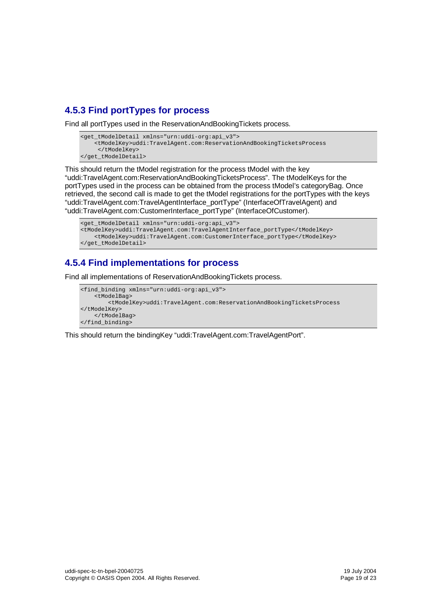## **4.5.3 Find portTypes for process**

Find all portTypes used in the ReservationAndBookingTickets process.

```
<get_tModelDetail xmlns="urn:uddi-org:api_v3">
    <tModelKey>uddi:TravelAgent.com:ReservationAndBookingTicketsProcess
     </tModelKey>
</get_tModelDetail>
```
This should return the tModel registration for the process tModel with the key "uddi:TravelAgent.com:ReservationAndBookingTicketsProcess". The tModelKeys for the portTypes used in the process can be obtained from the process tModel's categoryBag. Once retrieved, the second call is made to get the tModel registrations for the portTypes with the keys "uddi:TravelAgent.com:TravelAgentInterface\_portType" (InterfaceOfTravelAgent) and "uddi:TravelAgent.com:CustomerInterface\_portType" (InterfaceOfCustomer).

```
<get_tModelDetail xmlns="urn:uddi-org:api_v3">
<tModelKey>uddi:TravelAgent.com:TravelAgentInterface_portType</tModelKey>
   <tModelKey>uddi:TravelAgent.com:CustomerInterface_portType</tModelKey>
</get_tModelDetail>
```
## **4.5.4 Find implementations for process**

Find all implementations of ReservationAndBookingTickets process.

```
<find_binding xmlns="urn:uddi-org:api_v3">
    <tModelBag>
        <tModelKey>uddi:TravelAgent.com:ReservationAndBookingTicketsProcess
</tModelKey>
    </tModelBag>
</find_binding>
```
This should return the bindingKey "uddi:TravelAgent.com:TravelAgentPort".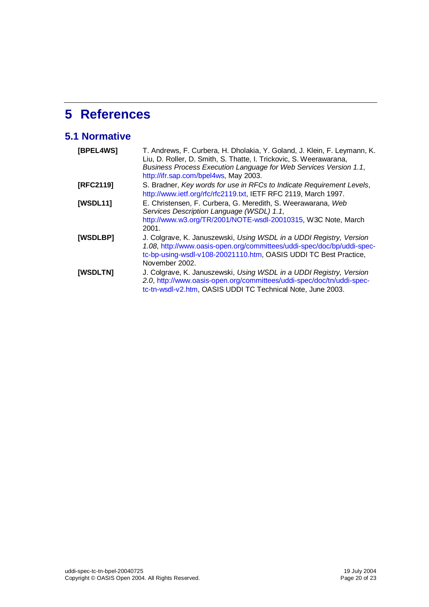# **5 References**

# **5.1 Normative**

| [BPEL4WS]       | T. Andrews, F. Curbera, H. Dholakia, Y. Goland, J. Klein, F. Leymann, K.<br>Liu, D. Roller, D. Smith, S. Thatte, I. Trickovic, S. Weerawarana,<br>Business Process Execution Language for Web Services Version 1.1,<br>http://ifr.sap.com/bpel4ws, May 2003. |
|-----------------|--------------------------------------------------------------------------------------------------------------------------------------------------------------------------------------------------------------------------------------------------------------|
| [RFC2119]       | S. Bradner, Key words for use in RFCs to Indicate Requirement Levels,<br>http://www.ietf.org/rfc/rfc2119.txt, IETF RFC 2119, March 1997.                                                                                                                     |
| <b>[WSDL11]</b> | E. Christensen, F. Curbera, G. Meredith, S. Weerawarana, Web<br>Services Description Language (WSDL) 1.1,<br>http://www.w3.org/TR/2001/NOTE-wsdl-20010315, W3C Note, March<br>2001.                                                                          |
| [WSDLBP]        | J. Colgrave, K. Januszewski, Using WSDL in a UDDI Registry, Version<br>1.08, http://www.oasis-open.org/committees/uddi-spec/doc/bp/uddi-spec-<br>tc-bp-using-wsdl-v108-20021110.htm, OASIS UDDI TC Best Practice,<br>November 2002.                          |
| [WSDLTN]        | J. Colgrave, K. Januszewski, Using WSDL in a UDDI Registry, Version<br>2.0, http://www.oasis-open.org/committees/uddi-spec/doc/tn/uddi-spec-<br>tc-tn-wsdl-v2.htm, OASIS UDDI TC Technical Note, June 2003.                                                  |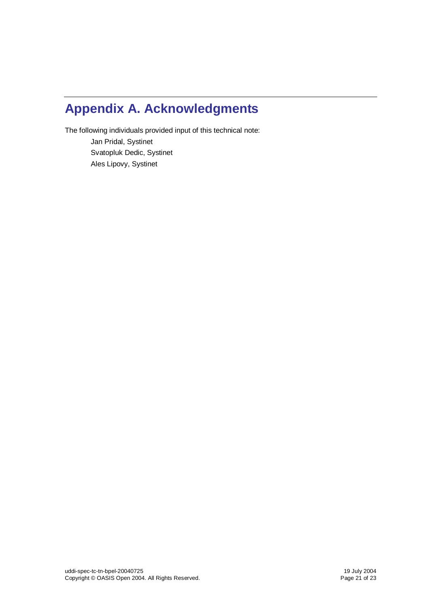# **Appendix A. Acknowledgments**

The following individuals provided input of this technical note: Jan Pridal, Systinet

> Svatopluk Dedic, Systinet Ales Lipovy, Systinet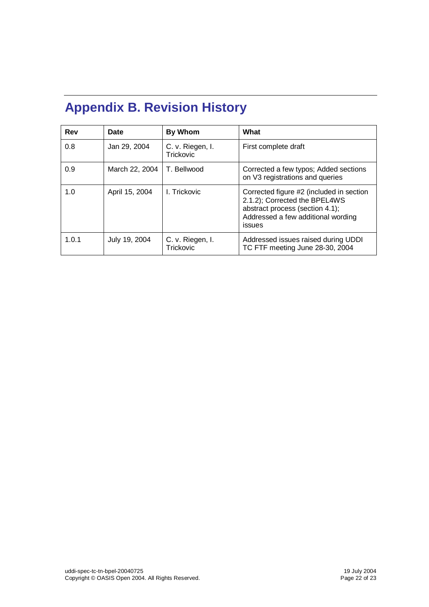# **Appendix B. Revision History**

| Rev   | Date           | By Whom                       | What                                                                                                                                                         |
|-------|----------------|-------------------------------|--------------------------------------------------------------------------------------------------------------------------------------------------------------|
| 0.8   | Jan 29, 2004   | C. v. Riegen, I.<br>Trickovic | First complete draft                                                                                                                                         |
| 0.9   | March 22, 2004 | T. Bellwood                   | Corrected a few typos; Added sections<br>on V3 registrations and queries                                                                                     |
| 1.0   | April 15, 2004 | I. Trickovic                  | Corrected figure #2 (included in section<br>2.1.2); Corrected the BPEL4WS<br>abstract process (section 4.1);<br>Addressed a few additional wording<br>issues |
| 1.0.1 | July 19, 2004  | C. v. Riegen, I.<br>Trickovic | Addressed issues raised during UDDI<br>TC FTF meeting June 28-30, 2004                                                                                       |